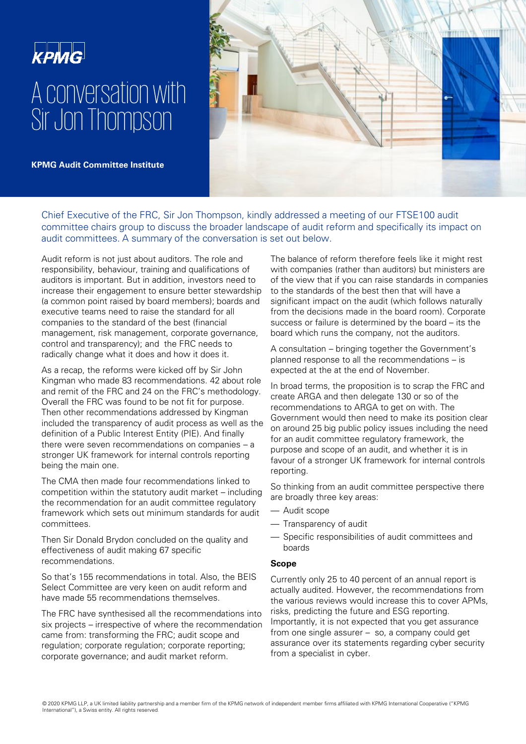

# A conversation with Sir Jon Thompson

**KPMG Audit Committee Institute** 



Chief Executive of the FRC, Sir Jon Thompson, kindly addressed a meeting of our FTSE100 audit committee chairs group to discuss the broader landscape of audit reform and specifically its impact on audit committees. A summary of the conversation is set out below.

Audit reform is not just about auditors. The role and responsibility, behaviour, training and qualifications of auditors is important. But in addition, investors need to increase their engagement to ensure better stewardship (a common point raised by board members); boards and executive teams need to raise the standard for all companies to the standard of the best (financial management, risk management, corporate governance, control and transparency); and the FRC needs to radically change what it does and how it does it.

As a recap, the reforms were kicked off by Sir John Kingman who made 83 recommendations. 42 about role and remit of the FRC and 24 on the FRC's methodology. Overall the FRC was found to be not fit for purpose. Then other recommendations addressed by Kingman included the transparency of audit process as well as the definition of a Public Interest Entity (PIE). And finally there were seven recommendations on companies – a stronger UK framework for internal controls reporting being the main one.

The CMA then made four recommendations linked to competition within the statutory audit market – including the recommendation for an audit committee regulatory framework which sets out minimum standards for audit committees.

Then Sir Donald Brydon concluded on the quality and effectiveness of audit making 67 specific recommendations.

So that's 155 recommendations in total. Also, the BEIS Select Committee are very keen on audit reform and have made 55 recommendations themselves.

The FRC have synthesised all the recommendations into six projects – irrespective of where the recommendation came from: transforming the FRC; audit scope and regulation; corporate regulation; corporate reporting; corporate governance; and audit market reform.

The balance of reform therefore feels like it might rest with companies (rather than auditors) but ministers are of the view that if you can raise standards in companies to the standards of the best then that will have a significant impact on the audit (which follows naturally from the decisions made in the board room). Corporate success or failure is determined by the board – its the board which runs the company, not the auditors.

A consultation – bringing together the Government's planned response to all the recommendations – is expected at the at the end of November.

In broad terms, the proposition is to scrap the FRC and create ARGA and then delegate 130 or so of the recommendations to ARGA to get on with. The Government would then need to make its position clear on around 25 big public policy issues including the need for an audit committee regulatory framework, the purpose and scope of an audit, and whether it is in favour of a stronger UK framework for internal controls reporting.

So thinking from an audit committee perspective there are broadly three key areas:

- Audit scope
- Transparency of audit
- Specific responsibilities of audit committees and boards

## **Scope**

Currently only 25 to 40 percent of an annual report is actually audited. However, the recommendations from the various reviews would increase this to cover APMs, risks, predicting the future and ESG reporting. Importantly, it is not expected that you get assurance from one single assurer – so, a company could get assurance over its statements regarding cyber security from a specialist in cyber.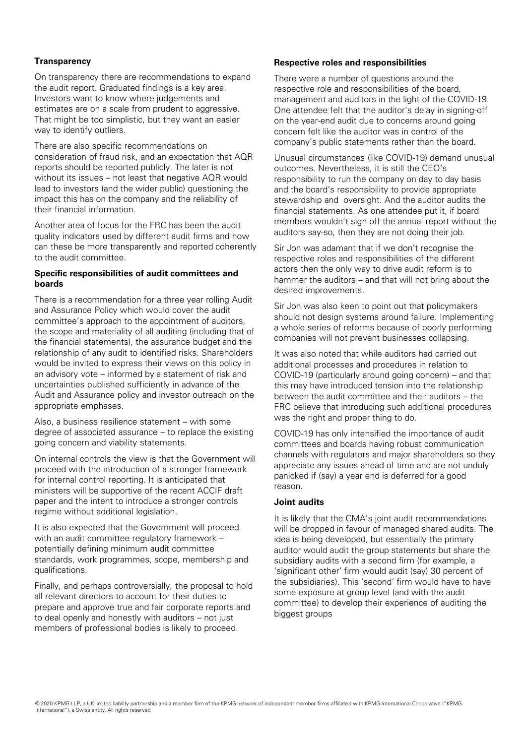## **Transparency**

On transparency there are recommendations to expand the audit report. Graduated findings is a key area. Investors want to know where judgements and estimates are on a scale from prudent to aggressive. That might be too simplistic, but they want an easier way to identify outliers.

There are also specific recommendations on consideration of fraud risk, and an expectation that AQR reports should be reported publicly. The later is not without its issues – not least that negative AQR would lead to investors (and the wider public) questioning the impact this has on the company and the reliability of their financial information.

Another area of focus for the FRC has been the audit quality indicators used by different audit firms and how can these be more transparently and reported coherently to the audit committee.

## **Specific responsibilities of audit committees and boards**

There is a recommendation for a three year rolling Audit and Assurance Policy which would cover the audit committee's approach to the appointment of auditors, the scope and materiality of all auditing (including that of the financial statements), the assurance budget and the relationship of any audit to identified risks. Shareholders would be invited to express their views on this policy in an advisory vote – informed by a statement of risk and uncertainties published sufficiently in advance of the Audit and Assurance policy and investor outreach on the appropriate emphases.

Also, a business resilience statement – with some degree of associated assurance – to replace the existing going concern and viability statements.

On internal controls the view is that the Government will proceed with the introduction of a stronger framework for internal control reporting. It is anticipated that ministers will be supportive of the recent ACCIF draft paper and the intent to introduce a stronger controls regime without additional legislation.

It is also expected that the Government will proceed with an audit committee regulatory framework – potentially defining minimum audit committee standards, work programmes, scope, membership and qualifications.

Finally, and perhaps controversially, the proposal to hold all relevant directors to account for their duties to prepare and approve true and fair corporate reports and to deal openly and honestly with auditors – not just members of professional bodies is likely to proceed.

## **Respective roles and responsibilities**

There were a number of questions around the respective role and responsibilities of the board, management and auditors in the light of the COVID-19. One attendee felt that the auditor's delay in signing-off on the year-end audit due to concerns around going concern felt like the auditor was in control of the company's public statements rather than the board.

Unusual circumstances (like COVID-19) demand unusual outcomes. Nevertheless, it is still the CEO's responsibility to run the company on day to day basis and the board's responsibility to provide appropriate stewardship and oversight. And the auditor audits the financial statements. As one attendee put it, if board members wouldn't sign off the annual report without the auditors say-so, then they are not doing their job.

Sir Jon was adamant that if we don't recognise the respective roles and responsibilities of the different actors then the only way to drive audit reform is to hammer the auditors – and that will not bring about the desired improvements.

Sir Jon was also keen to point out that policymakers should not design systems around failure. Implementing a whole series of reforms because of poorly performing companies will not prevent businesses collapsing.

It was also noted that while auditors had carried out additional processes and procedures in relation to COVID-19 (particularly around going concern) – and that this may have introduced tension into the relationship between the audit committee and their auditors – the FRC believe that introducing such additional procedures was the right and proper thing to do.

COVID-19 has only intensified the importance of audit committees and boards having robust communication channels with regulators and major shareholders so they appreciate any issues ahead of time and are not unduly panicked if (say) a year end is deferred for a good reason.

## **Joint audits**

It is likely that the CMA's joint audit recommendations will be dropped in favour of managed shared audits. The idea is being developed, but essentially the primary auditor would audit the group statements but share the subsidiary audits with a second firm (for example, a 'significant other' firm would audit (say) 30 percent of the subsidiaries). This 'second' firm would have to have some exposure at group level (and with the audit committee) to develop their experience of auditing the biggest groups